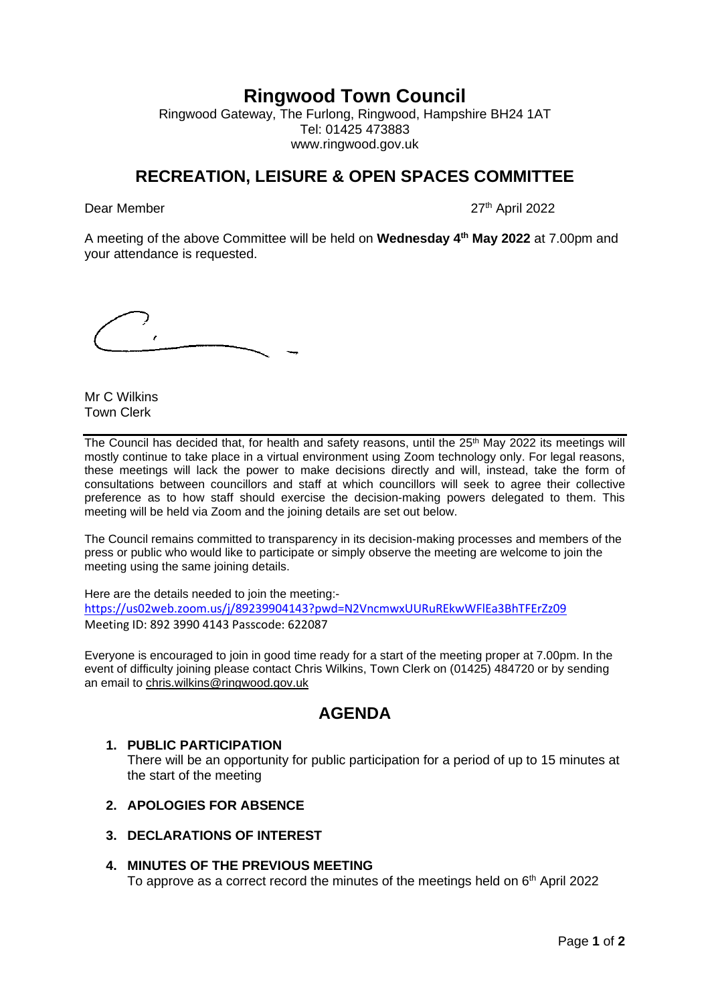# **Ringwood Town Council**

Ringwood Gateway, The Furlong, Ringwood, Hampshire BH24 1AT Tel: 01425 473883 www.ringwood.gov.uk

# **RECREATION, LEISURE & OPEN SPACES COMMITTEE**

Dear Member 27th April 2022

A meeting of the above Committee will be held on **Wednesday 4th May 2022** at 7.00pm and your attendance is requested.

Mr C Wilkins Town Clerk

The Council has decided that, for health and safety reasons, until the 25<sup>th</sup> May 2022 its meetings will mostly continue to take place in a virtual environment using Zoom technology only. For legal reasons, these meetings will lack the power to make decisions directly and will, instead, take the form of consultations between councillors and staff at which councillors will seek to agree their collective preference as to how staff should exercise the decision-making powers delegated to them. This meeting will be held via Zoom and the joining details are set out below.

The Council remains committed to transparency in its decision-making processes and members of the press or public who would like to participate or simply observe the meeting are welcome to join the meeting using the same joining details.

Here are the details needed to join the meeting: <https://us02web.zoom.us/j/89239904143?pwd=N2VncmwxUURuREkwWFlEa3BhTFErZz09> Meeting ID: 892 3990 4143 Passcode: 622087

Everyone is encouraged to join in good time ready for a start of the meeting proper at 7.00pm. In the event of difficulty joining please contact Chris Wilkins, Town Clerk on (01425) 484720 or by sending an email to [chris.wilkins@ringwood.gov.uk](mailto:chris.wilkins@ringwood.gov.uk)

# **AGENDA**

# **1. PUBLIC PARTICIPATION**

There will be an opportunity for public participation for a period of up to 15 minutes at the start of the meeting

- **2. APOLOGIES FOR ABSENCE**
- **3. DECLARATIONS OF INTEREST**

# **4. MINUTES OF THE PREVIOUS MEETING**

To approve as a correct record the minutes of the meetings held on  $6<sup>th</sup>$  April 2022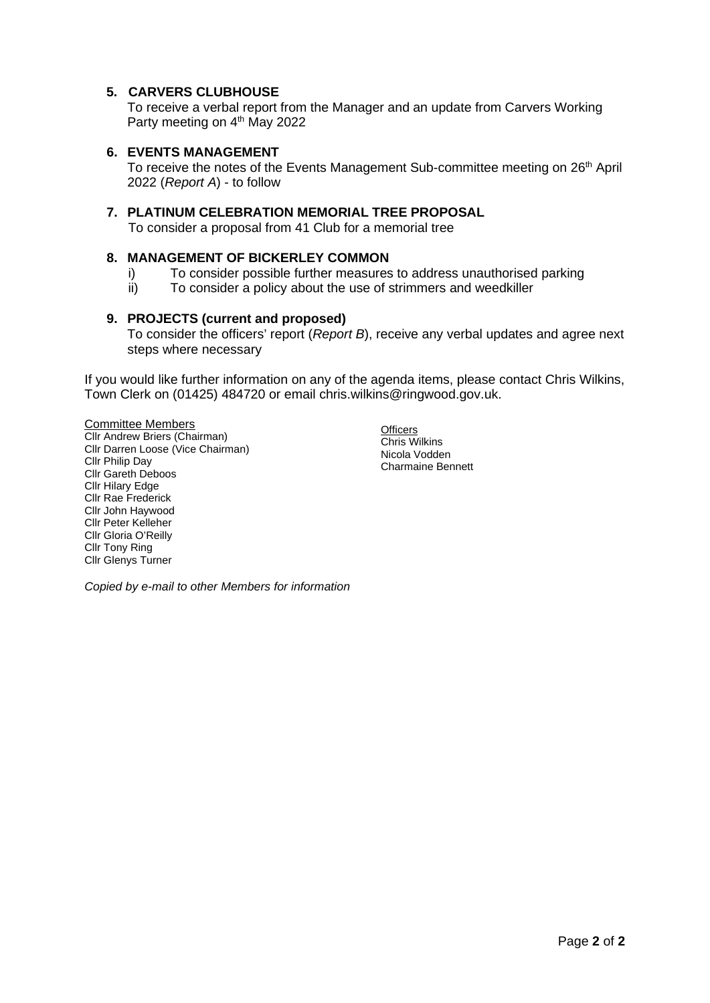# **5. CARVERS CLUBHOUSE**

To receive a verbal report from the Manager and an update from Carvers Working Party meeting on 4<sup>th</sup> May 2022

## **6. EVENTS MANAGEMENT**

To receive the notes of the Events Management Sub-committee meeting on 26<sup>th</sup> April 2022 (*Report A*) - to follow

### **7. PLATINUM CELEBRATION MEMORIAL TREE PROPOSAL**

To consider a proposal from 41 Club for a memorial tree

## **8. MANAGEMENT OF BICKERLEY COMMON**

- i) To consider possible further measures to address unauthorised parking
- ii) To consider a policy about the use of strimmers and weedkiller

## **9. PROJECTS (current and proposed)**

To consider the officers' report (*Report B*), receive any verbal updates and agree next steps where necessary

If you would like further information on any of the agenda items, please contact Chris Wilkins, Town Clerk on (01425) 484720 or email chris.wilkins@ringwood.gov.uk.

Committee Members Cllr Andrew Briers (Chairman) Cllr Darren Loose (Vice Chairman) Cllr Philip Day Cllr Gareth Deboos Cllr Hilary Edge Cllr Rae Frederick Cllr John Haywood Cllr Peter Kelleher Cllr Gloria O'Reilly Cllr Tony Ring Cllr Glenys Turner

**Officers** Chris Wilkins Nicola Vodden Charmaine Bennett

*Copied by e-mail to other Members for information*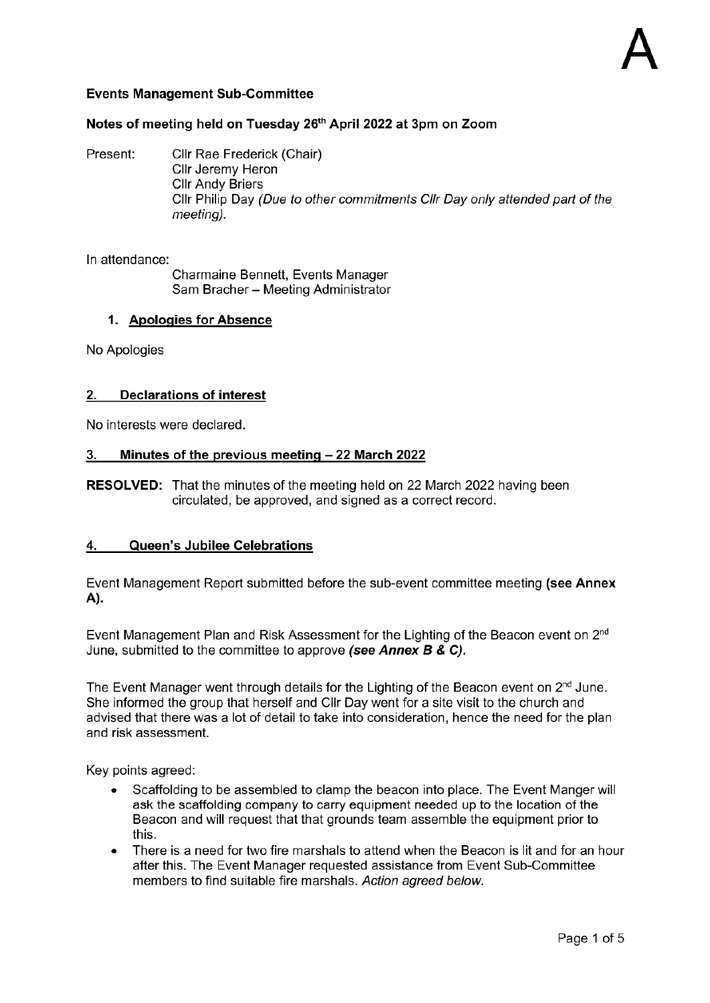# **Events Management Sub-Committee**

# Notes of meeting held on Tuesday 26<sup>th</sup> April 2022 at 3pm on Zoom

Present: Cllr Rae Frederick (Chair) Cllr Jeremy Heron **Cllr Andy Briers** Cllr Philip Day (Due to other commitments Cllr Day only attended part of the meetina).

In attendance:

Charmaine Bennett, Events Manager Sam Bracher - Meeting Administrator

## 1. Apologies for Absence

No Apologies

# 2. Declarations of interest

No interests were declared.

#### Minutes of the previous meeting - 22 March 2022  $3.$

**RESOLVED:** That the minutes of the meeting held on 22 March 2022 having been circulated, be approved, and signed as a correct record.

#### Queen's Jubilee Celebrations 4.

Event Management Report submitted before the sub-event committee meeting (see Annex A).

Event Management Plan and Risk Assessment for the Lighting of the Beacon event on 2<sup>nd</sup> June, submitted to the committee to approve (see Annex  $B & C$ ).

The Event Manager went through details for the Lighting of the Beacon event on 2<sup>nd</sup> June. She informed the group that herself and Cllr Day went for a site visit to the church and advised that there was a lot of detail to take into consideration, hence the need for the plan and risk assessment.

Key points agreed:

- Scaffolding to be assembled to clamp the beacon into place. The Event Manger will ask the scaffolding company to carry equipment needed up to the location of the Beacon and will request that that grounds team assemble the equipment prior to this.
- There is a need for two fire marshals to attend when the Beacon is lit and for an hour  $\bullet$ after this. The Event Manager requested assistance from Event Sub-Committee members to find suitable fire marshals. Action agreed below.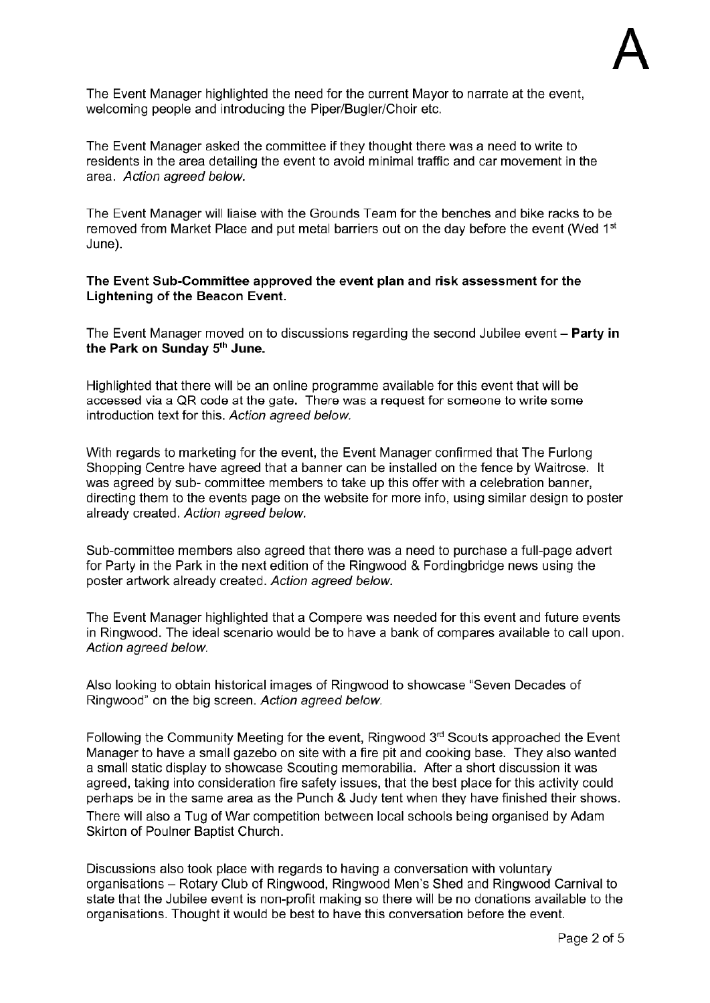The Event Manager highlighted the need for the current Mayor to narrate at the event, welcoming people and introducing the Piper/Bugler/Choir etc.

The Event Manager asked the committee if they thought there was a need to write to residents in the area detailing the event to avoid minimal traffic and car movement in the area. Action agreed below.

The Event Manager will liaise with the Grounds Team for the benches and bike racks to be removed from Market Place and put metal barriers out on the day before the event (Wed 1st June).

## The Event Sub-Committee approved the event plan and risk assessment for the Lightening of the Beacon Event.

The Event Manager moved on to discussions regarding the second Jubilee event  $-$  Party in the Park on Sunday 5th June.

Highlighted that there will be an online programme available for this event that will be accessed via a QR code at the gate. There was a request for someone to write some introduction text for this. Action agreed below.

With regards to marketing for the event, the Event Manager confirmed that The Furlong Shopping Centre have agreed that a banner can be installed on the fence by Waitrose. It was agreed by sub- committee members to take up this offer with a celebration banner, directing them to the events page on the website for more info, using similar design to poster already created. Action agreed below.

Sub-committee members also agreed that there was a need to purchase a full-page advert for Party in the Park in the next edition of the Ringwood & Fordingbridge news using the poster artwork already created. Action agreed below.

The Event Manager highlighted that a Compere was needed for this event and future events in Ringwood. The ideal scenario would be to have a bank of compares available to call upon. Action agreed below.

Also looking to obtain historical images of Ringwood to showcase "Seven Decades of Ringwood" on the big screen. Action agreed below.

Following the Community Meeting for the event, Ringwood  $3<sup>rd</sup>$  Scouts approached the Event Manager to have a small gazebo on site with a fire pit and cooking base. They also wanted a small static display to showcase Scouting memorabilia. After a short discussion it was agreed, taking into consideration fire safety issues, that the best place for this activity could perhaps be in the same area as the Punch & Judy tent when they have finished their shows. There will also a Tug of War competition between local schools being organised by Adam Skirton of Poulner Baptist Church.

Discussions also took place with regards to having a conversation with voluntary organisations - Rotary Club of Ringwood, Ringwood Men's Shed and Ringwood Carnival to state that the Jubilee event is non-profit making so there will be no donations available to the organisations. Thought it would be best to have this conversation before the event.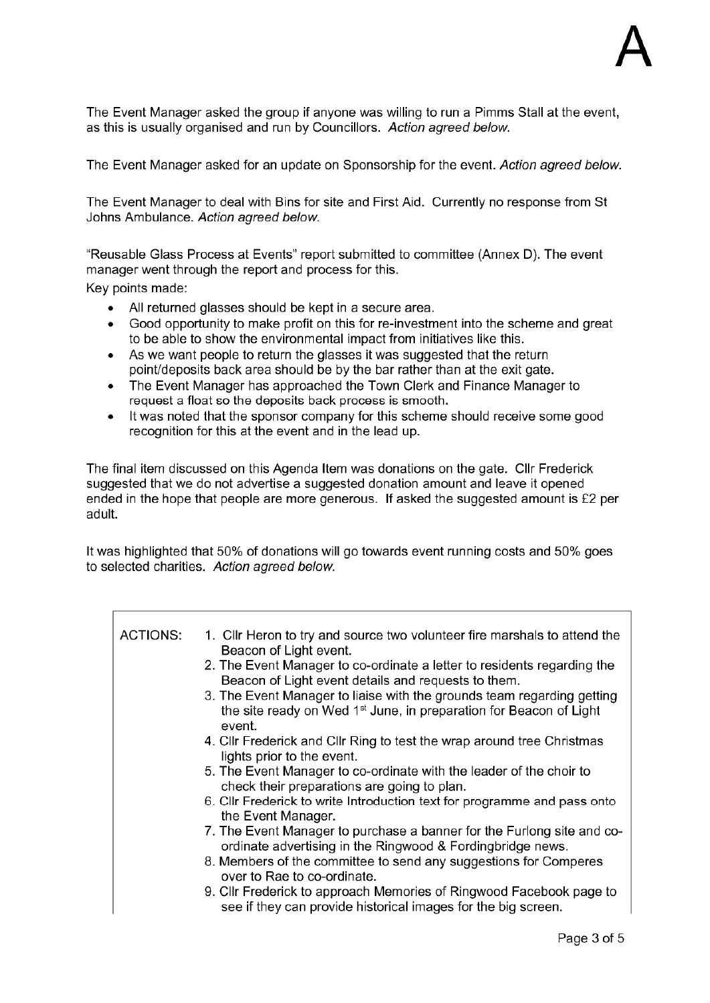The Event Manager asked the group if anyone was willing to run a Pimms Stall at the event, as this is usually organised and run by Councillors. Action agreed below.

The Event Manager asked for an update on Sponsorship for the event. Action agreed below.

The Event Manager to deal with Bins for site and First Aid. Currently no response from St Johns Ambulance. Action agreed below.

"Reusable Glass Process at Events" report submitted to committee (Annex D). The event manager went through the report and process for this.

Key points made:

- All returned glasses should be kept in a secure area.
- Good opportunity to make profit on this for re-investment into the scheme and great  $\bullet$ to be able to show the environmental impact from initiatives like this.
- As we want people to return the glasses it was suggested that the return  $\bullet$ point/deposits back area should be by the bar rather than at the exit gate.
- The Event Manager has approached the Town Clerk and Finance Manager to request a float so the deposits back process is smooth.
- It was noted that the sponsor company for this scheme should receive some good  $\blacksquare$ recognition for this at the event and in the lead up.

The final item discussed on this Agenda Item was donations on the gate. Cllr Frederick suggested that we do not advertise a suggested donation amount and leave it opened ended in the hope that people are more generous. If asked the suggested amount is £2 per adult.

It was highlighted that 50% of donations will go towards event running costs and 50% goes to selected charities. Action agreed below.

| ACTIONS: | 1. Cllr Heron to try and source two volunteer fire marshals to attend the<br>Beacon of Light event.  |
|----------|------------------------------------------------------------------------------------------------------|
|          | 2. The Event Manager to co-ordinate a letter to residents regarding the                              |
|          | Beacon of Light event details and requests to them.                                                  |
|          | 3. The Event Manager to liaise with the grounds team regarding getting                               |
|          | the site ready on Wed 1 <sup>st</sup> June, in preparation for Beacon of Light<br>event.             |
|          |                                                                                                      |
|          | 4. Cllr Frederick and Cllr Ring to test the wrap around tree Christmas<br>lights prior to the event. |
|          | 5. The Event Manager to co-ordinate with the leader of the choir to                                  |
|          | check their preparations are going to plan.                                                          |
|          | 6. Cllr Frederick to write Introduction text for programme and pass onto<br>the Event Manager.       |
|          | 7. The Event Manager to purchase a banner for the Furlong site and co-                               |
|          | ordinate advertising in the Ringwood & Fordingbridge news.                                           |
|          | 8. Members of the committee to send any suggestions for Comperes<br>over to Rae to co-ordinate.      |
|          | 9. Cllr Frederick to approach Memories of Ringwood Facebook page to                                  |
|          | see if they can provide historical images for the big screen.                                        |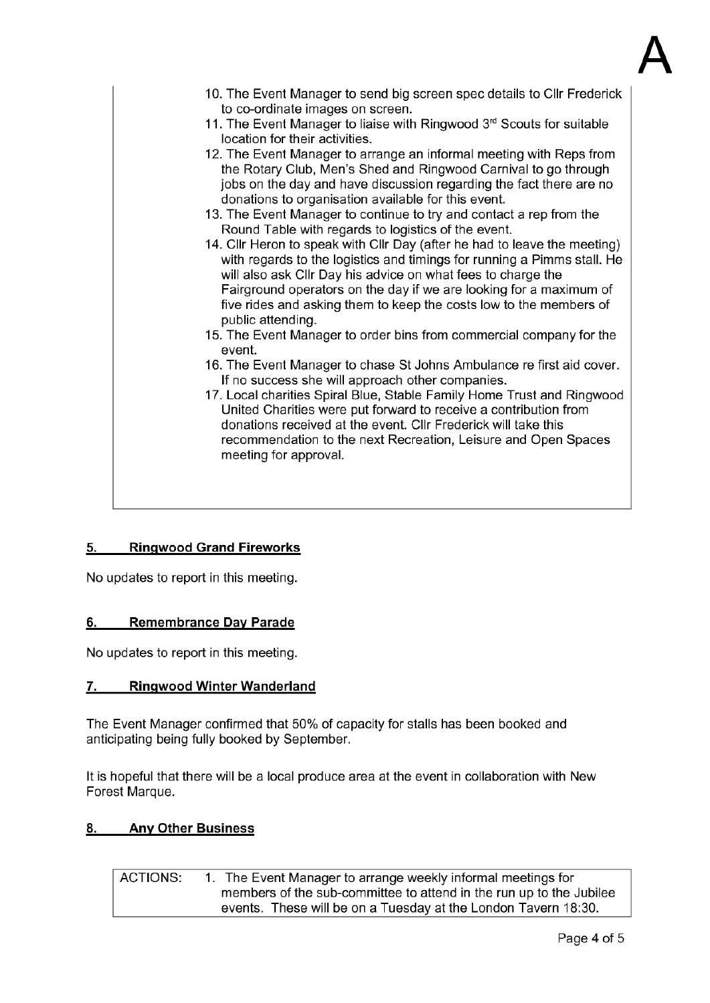

| 10. The Event Manager to send big screen spec details to Cllr Frederick<br>to co-ordinate images on screen.<br>11. The Event Manager to liaise with Ringwood 3 <sup>rd</sup> Scouts for suitable<br>location for their activities.<br>12. The Event Manager to arrange an informal meeting with Reps from<br>the Rotary Club, Men's Shed and Ringwood Carnival to go through<br>jobs on the day and have discussion regarding the fact there are no<br>donations to organisation available for this event.<br>13. The Event Manager to continue to try and contact a rep from the<br>Round Table with regards to logistics of the event.<br>14. Cllr Heron to speak with Cllr Day (after he had to leave the meeting)<br>with regards to the logistics and timings for running a Pimms stall. He<br>will also ask Cllr Day his advice on what fees to charge the<br>Fairground operators on the day if we are looking for a maximum of<br>five rides and asking them to keep the costs low to the members of<br>public attending.<br>15. The Event Manager to order bins from commercial company for the<br>event.<br>16. The Event Manager to chase St Johns Ambulance re first aid cover.<br>If no success she will approach other companies.<br>17. Local charities Spiral Blue, Stable Family Home Trust and Ringwood<br>United Charities were put forward to receive a contribution from<br>donations received at the event. Cllr Frederick will take this<br>recommendation to the next Recreation, Leisure and Open Spaces<br>meeting for approval. |
|------------------------------------------------------------------------------------------------------------------------------------------------------------------------------------------------------------------------------------------------------------------------------------------------------------------------------------------------------------------------------------------------------------------------------------------------------------------------------------------------------------------------------------------------------------------------------------------------------------------------------------------------------------------------------------------------------------------------------------------------------------------------------------------------------------------------------------------------------------------------------------------------------------------------------------------------------------------------------------------------------------------------------------------------------------------------------------------------------------------------------------------------------------------------------------------------------------------------------------------------------------------------------------------------------------------------------------------------------------------------------------------------------------------------------------------------------------------------------------------------------------------------------------------------------------|
|                                                                                                                                                                                                                                                                                                                                                                                                                                                                                                                                                                                                                                                                                                                                                                                                                                                                                                                                                                                                                                                                                                                                                                                                                                                                                                                                                                                                                                                                                                                                                            |

#### **Ringwood Grand Fireworks**  $5.$

No updates to report in this meeting.

#### 6. **Remembrance Day Parade**

No updates to report in this meeting.

#### **Ringwood Winter Wanderland** 7.

The Event Manager confirmed that 50% of capacity for stalls has been booked and anticipating being fully booked by September.

It is hopeful that there will be a local produce area at the event in collaboration with New Forest Marque.

#### **Any Other Business** 8.

**ACTIONS:** 1. The Event Manager to arrange weekly informal meetings for members of the sub-committee to attend in the run up to the Jubilee events. These will be on a Tuesday at the London Tavern 18:30.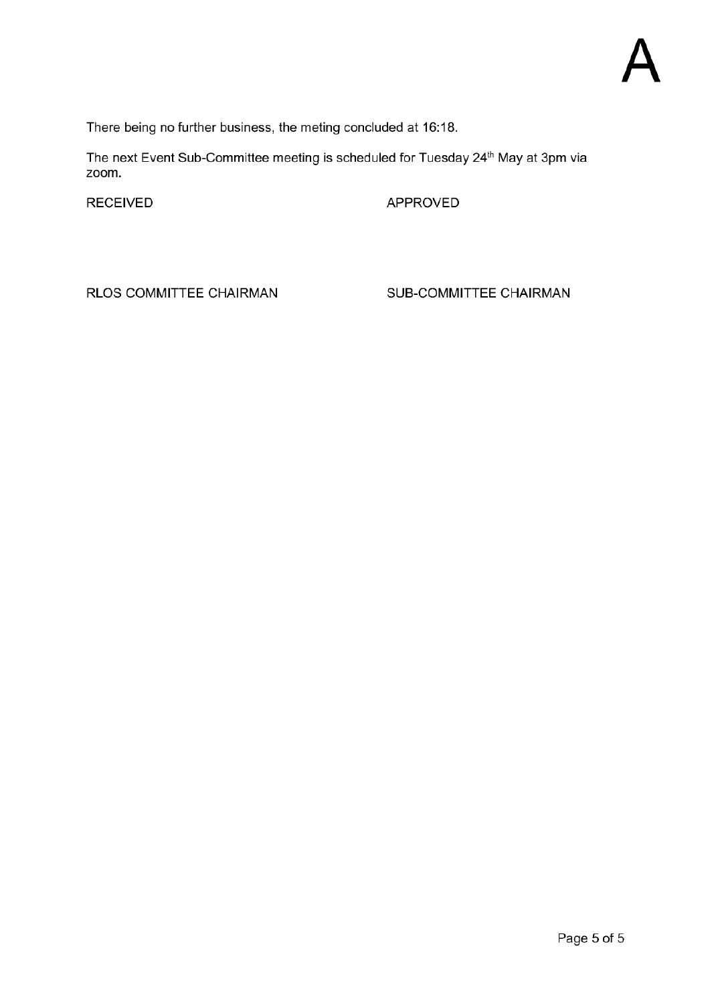There being no further business, the meting concluded at 16:18.

The next Event Sub-Committee meeting is scheduled for Tuesday 24<sup>th</sup> May at 3pm via zoom.

**RECEIVED** 

APPROVED

RLOS COMMITTEE CHAIRMAN

SUB-COMMITTEE CHAIRMAN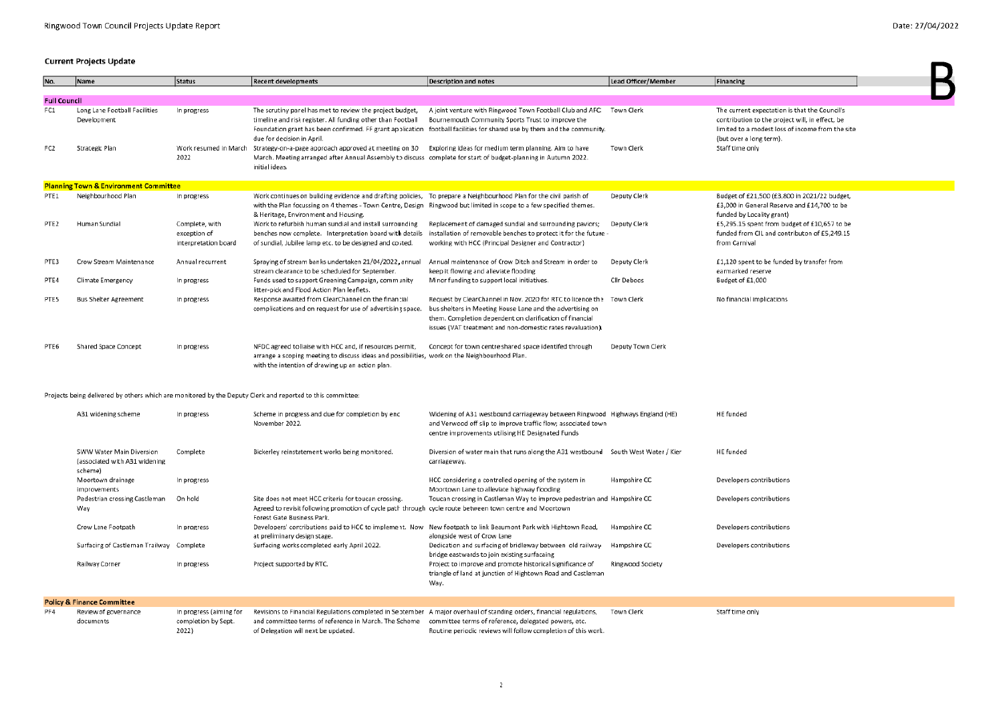$\blacksquare$ 

### **Current Projects Update**

| No.                                                                                                        | Name                                             | Status                                                 | <b>Recent developments</b>                                                                                                                                                                                                                                                       | Description and notes                                                                                                                                                                                                                                         | Lead Officer/Member | Financing                                                                                                                      |  |
|------------------------------------------------------------------------------------------------------------|--------------------------------------------------|--------------------------------------------------------|----------------------------------------------------------------------------------------------------------------------------------------------------------------------------------------------------------------------------------------------------------------------------------|---------------------------------------------------------------------------------------------------------------------------------------------------------------------------------------------------------------------------------------------------------------|---------------------|--------------------------------------------------------------------------------------------------------------------------------|--|
| <b>Full Council</b>                                                                                        |                                                  |                                                        |                                                                                                                                                                                                                                                                                  |                                                                                                                                                                                                                                                               |                     |                                                                                                                                |  |
| FC1                                                                                                        | Long Lane Football Facilities                    | In progress                                            | The scrutiny panel has met to review the project budget,                                                                                                                                                                                                                         | A joint venture with Ringwood Town Football Club and AFC                                                                                                                                                                                                      | Town Clerk          | The current expectation is that the Council's                                                                                  |  |
|                                                                                                            | Development                                      |                                                        | timeline and risk register. All funding other than Football<br>due for decision in April.                                                                                                                                                                                        | Bournemouth Community Sports Trust to improve the<br>Foundation grant has been confirmed. FF grant application football facilities for shared use by them and the community.                                                                                  |                     | contribution to the project will, in effect, be<br>limited to a modest loss of income from the site<br>(but over a long term). |  |
| FC <sub>2</sub>                                                                                            | Strategic Plan                                   | Work resumed in March<br>2022                          | Strategy-on-a-page approach approved at meeting on 30 Exploring ideas for medium term planning. Aim to have<br>March. Meeting arranged after Annual Assembly to discuss complete for start of budget-planning in Autumn 2022.<br>initial ideas.                                  |                                                                                                                                                                                                                                                               | Town Clerk          | Staff time only                                                                                                                |  |
|                                                                                                            | <b>Planning Town &amp; Environment Committee</b> |                                                        |                                                                                                                                                                                                                                                                                  |                                                                                                                                                                                                                                                               |                     |                                                                                                                                |  |
| PTE1                                                                                                       | Neighbourhood Plan                               | In progress                                            | Work continues on buliding evidence and drafting policies, To prepare a Neighbourhood Plan for the civil parish of<br>with the Plan focussing on 4 themes - Town Centre, Design Ringwood but limited in scope to a few specified themes.<br>& Heritage, Environment and Housing. |                                                                                                                                                                                                                                                               | Deputy Clerk        | Budget of £21,500 (£3,800 in 2021/22 budget,<br>£3,000 in General Reserve and £14,700 to be<br>funded by Locality grant)       |  |
| PTE <sub>2</sub>                                                                                           | Human Sundial                                    | Complete, with<br>exception of<br>interpretation board | Work to refurbish human sundial and install surrounding<br>benches now complete. Interpretation board with details<br>of sundial, Jubilee lamp etc. to be designed and costed.                                                                                                   | Replacement of damaged sundial and surrounding paviors;<br>installation of removable benches to protect it for the future -<br>working with HCC (Principal Designer and Contractor)                                                                           | Deputy Clerk        | £5,295.15 spent from budget of £10,657 to be<br>funded from CIL and contributon of £5,249.15<br>from Carnival                  |  |
| PTE3                                                                                                       | Crow Stream Maintenance                          | Annual recurrent                                       | Spraying of stream banks undertaken 21/04/2022, annual<br>stream clearance to be scheduled for September.                                                                                                                                                                        | Annual maintenance of Crow Ditch and Stream in order to<br>keep it flowing and alleviate flooding                                                                                                                                                             | Deputy Clerk        | £1,120 spent to be funded by transfer from<br>earmarked reserve                                                                |  |
| PTE4                                                                                                       | Climate Emergency                                | In progress                                            | Funds used to support Greening Campaign, community<br>litter-pick and Flood Action Plan leaflets.                                                                                                                                                                                | Minor funding to support local initiatives.                                                                                                                                                                                                                   | Cllr Deboos         | Budget of £1,000                                                                                                               |  |
| PTE5                                                                                                       | <b>Bus Shelter Agreement</b>                     | In progress                                            | Response awaited from ClearChannel on the financial<br>complications and on request for use of advertising space                                                                                                                                                                 | Request by ClearChannel in Nov. 2020 for RTC to licence the Town Clerk<br>bus shelters in Meeting House Lane and the advertising on<br>them. Completion dependent on clarification of financial<br>issues (VAT treatment and non-domestic rates revaluation). |                     | No financial implications                                                                                                      |  |
| PTE6                                                                                                       | Shared Space Concept                             | In progress                                            | NFDC agreed to liaise with HCC and, if resources permit,<br>arrange a scoping meeting to discuss ideas and possibilities, work on the Neighbourhood Plan.<br>with the intention of drawing up an action plan.                                                                    | Concept for town centre shared space identifed through                                                                                                                                                                                                        | Deputy Town Clerk   |                                                                                                                                |  |
| Projects being delivered by others which are monitored by the Deputy Clerk and reported to this committee: |                                                  |                                                        |                                                                                                                                                                                                                                                                                  |                                                                                                                                                                                                                                                               |                     |                                                                                                                                |  |
|                                                                                                            | A31 widening scheme                              | In progress                                            | Scheme in progress and due for completion by end<br>November 2022.                                                                                                                                                                                                               | Widening of A31 westbound carriageway between Ringwood Highways England (HE)<br>and Verwood off slip to improve traffic flow; associated town<br>centre improvements utilising HE Designated Funds                                                            |                     | HE funded                                                                                                                      |  |

|     |                                                                      |                                                |                                                                                                                                                                                                                                     | centre improvements utilising HE Designated Funds                                                                                |                         |                          |
|-----|----------------------------------------------------------------------|------------------------------------------------|-------------------------------------------------------------------------------------------------------------------------------------------------------------------------------------------------------------------------------------|----------------------------------------------------------------------------------------------------------------------------------|-------------------------|--------------------------|
|     | SWW Water Main Diversion<br>(associated with A31 widening<br>scheme) | Complete                                       | Bickerley reinstatement works being monitored.                                                                                                                                                                                      | Diversion of water main that runs along the A31 westbound<br>carriageway.                                                        | South West Water / Kier | HE funded                |
|     | Moortown drainage<br>improvements                                    | In progress                                    |                                                                                                                                                                                                                                     | HCC considering a controlled opening of the system in<br>Moortown Lane to alleviate highway flooding                             | Hampshire CC            | Developers contributions |
|     | Pedestrian crossing Castleman<br>Way                                 | On hold                                        | Site does not meet HCC criteria for toucan crossing.<br>Agreed to revisit following promotion of cycle path through cycle route between town centre and Moortown<br>Forest Gate Business Park.                                      | Toucan crossing in Castleman Way to improve pedestrian and Hampshire CC                                                          |                         | Developers contributions |
|     | Crow Lane Footpath                                                   | In progress                                    | Developers' contributions paid to HCC to implement. Now New footpath to link Beaumont Park with Hightown Road,<br>at preliminary design stage.                                                                                      | alongside west of Crow Lane                                                                                                      | Hampshire CC            | Developers contributions |
|     | Surfacing of Castleman Trailway                                      | Complete                                       | Surfacing works completed early April 2022.                                                                                                                                                                                         | Dedication and surfacing of bridleway between old railway<br>bridge eastwards to join existing surfacaing                        | Hampshire CC            | Developers contributions |
|     | Railway Corner                                                       | In progress                                    | Project supported by RTC.                                                                                                                                                                                                           | Project to improve and promote historical significance of<br>triangle of land at junction of Hightown Road and Castleman<br>Way. | Ringwood Society        |                          |
|     | <b>Policy &amp; Finance Committee</b>                                |                                                |                                                                                                                                                                                                                                     |                                                                                                                                  |                         |                          |
| PF4 | Review of governance<br>documents                                    | In progress (aiming for<br>completion by Sept. | Revisions to Financial Regulations completed in September A major overhaul of standing orders, financial regulations,<br>and committee terms of reference in March. The Scheme committee terms of reference, delegated powers, etc. |                                                                                                                                  | Town Clerk              | Staff time only          |

2022) of Delegation will next be updated. Routine periodic reviews will follow completion of this work.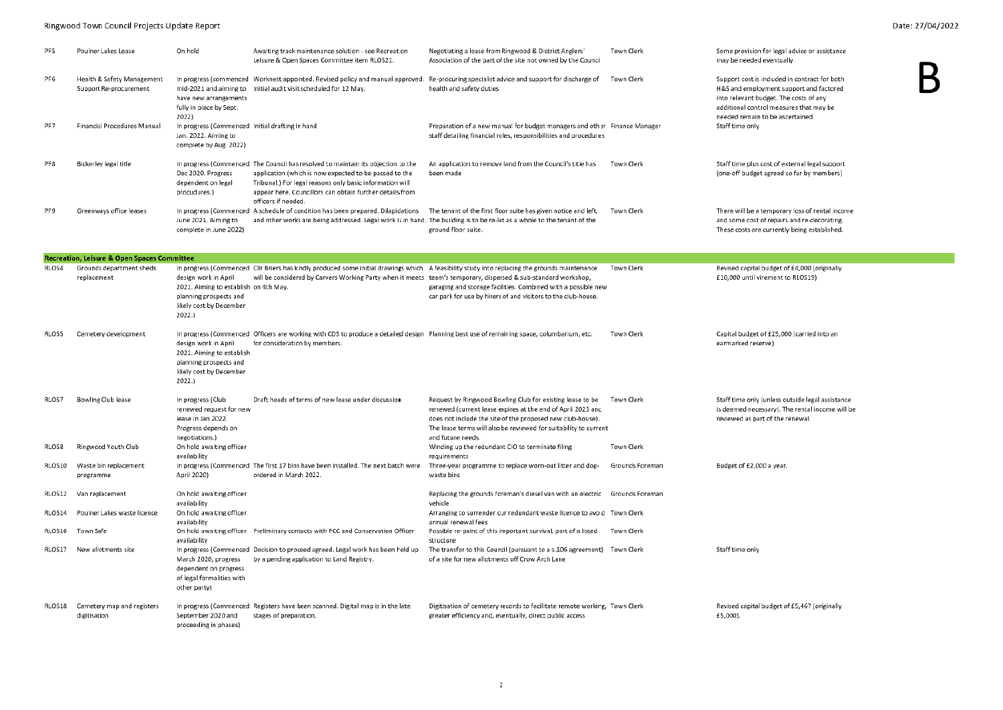### Ringwood Town Council Projects Update Report

### Date: 27/04/2022

| PF5             | Poulner Lakes Lease                                    | On hold                                                                                                                     | Awaiting track maintenance solution - see Recreation<br>Leisure & Open Spaces Committee item RLOS21.                                                                                                                                                                                      | Negotiating a lease from Ringwood & District Anglers'<br>Association of the part of the site not owned by the Council                                                                                                                                                           | Town Clerk      | Some provision for legal advice or assistance<br>may be needed eventually.                                                                                                                                        |
|-----------------|--------------------------------------------------------|-----------------------------------------------------------------------------------------------------------------------------|-------------------------------------------------------------------------------------------------------------------------------------------------------------------------------------------------------------------------------------------------------------------------------------------|---------------------------------------------------------------------------------------------------------------------------------------------------------------------------------------------------------------------------------------------------------------------------------|-----------------|-------------------------------------------------------------------------------------------------------------------------------------------------------------------------------------------------------------------|
| PF <sub>6</sub> | Health & Safety Management<br>Support Re-procurement   | have new arrangements<br>fully in place by Sept.<br>2022)                                                                   | In progress (commenced Worknest appointed. Revised policy and manual approved.<br>mid-2021 and aiming to Initial audit visit scheduled for 12 May.                                                                                                                                        | Re-procuring specialist advice and support for discharge of<br>health and safety duties                                                                                                                                                                                         | Town Clerk      | Support cost is included in contract for both<br>H&S and employment support and factored<br>into relevant budget. The costs of any<br>additional control measures that may be<br>needed remain to be ascertained. |
| PF7             | Financial Procedures Manual                            | In progress (Commenced Initial drafting in hand<br>Jan. 2022. Aiming to<br>complete by Aug. 2022)                           |                                                                                                                                                                                                                                                                                           | Preparation of a new manual for budget managers and other Finance Manager<br>staff detailing financial roles, responsibilities and procedures                                                                                                                                   |                 | Staff time only                                                                                                                                                                                                   |
| PF8             | Bickerley legal title                                  | Dec 2020. Progress<br>dependent on legal<br>procudures.)                                                                    | In progress (Commenced The Council has resolved to maintain its objection to the<br>application (which is now expected to be passed to the<br>Tribunal.) For legal reasons only basic information will<br>appear here. Councillors can obtain further details from<br>officers if needed. | An application to remove land from the Council's title has<br>been made                                                                                                                                                                                                         | Town Clerk      | Staff time plus cost of external legal support<br>(one-off budget agreed so far by members)                                                                                                                       |
| PF9             | Greenways office leases                                | June 2021. Aiming to<br>complete in June 2022)                                                                              | In progress (Commenced A schedule of condition has been prepared. Dilapidations<br>and other works are being addressed. Legal work is in hand. The building is to be re-let as a whole to the tenant of the                                                                               | The tenant of the first floor suite has given notice and left.<br>ground floor suite.                                                                                                                                                                                           | Town Clerk      | There will be a temporary loss of rental income<br>and some cost of repairs and re-decorating.<br>These costs are currently being established.                                                                    |
|                 | <b>Recreation, Leisure &amp; Open Spaces Committee</b> |                                                                                                                             |                                                                                                                                                                                                                                                                                           |                                                                                                                                                                                                                                                                                 |                 |                                                                                                                                                                                                                   |
| RLOS4           | Grounds department sheds<br>replacement                | design work in April<br>2021. Aiming to establish on 4th May.<br>planning prospects and<br>likely cost by December<br>2022. | In progress (Commenced Clir Briers has kindly produced some initial drawings which A feasibility study into replacing the grounds maintenance<br>will be considered by Carvers Working Party when it meets team's temporary, dispersed & sub-standard workshop,                           | garaging and storage facilities. Combined with a possible new<br>car park for use by hirers of and visitors to the club-house.                                                                                                                                                  | Town Clerk      | Revised capital budget of £4,000 (originally<br>£10,000 until virement to RLOS19)                                                                                                                                 |
| RLOS5           | Cemetery development                                   | design work in April<br>2021. Aiming to establish<br>planning prospects and<br>likely cost by December<br>2022.             | In progress (Commenced Officers are working with CDS to produce a detailed design Planning best use of remaining space, columbarium, etc.<br>for consideration by members.                                                                                                                |                                                                                                                                                                                                                                                                                 | Town Clerk      | Capital budget of £25,000 (carried into an<br>earmarked reserve)                                                                                                                                                  |
| RLOS7           | Bowling Club lease                                     | In progress (Club<br>renewed request for new<br>lease in Jan 2022.<br>Progress depends on<br>negotiations.)                 | Draft heads of terms of new lease under discussion                                                                                                                                                                                                                                        | Request by Ringwood Bowling Club for existing lease to be<br>renewed (current lease expires at the end of April 2023 and<br>does not include the site of the proposed new club-house).<br>The lease terms will also be reviewed for suitability to current<br>and future needs. | Town Clerk      | Staff time only (unless outside legal assistance<br>is deemed necessary). The rental income will be<br>reviewed as part of the renewal.                                                                           |
| RLOS8           | Ringwood Youth Club                                    | On hold awaiting officer<br>availability                                                                                    |                                                                                                                                                                                                                                                                                           | Winding up the redundant CIO to terminate filing<br>requirements                                                                                                                                                                                                                | Town Clerk      |                                                                                                                                                                                                                   |
| RLOS10          | Waste bin replacement<br>programme                     | April 2020)                                                                                                                 | In progress (Commenced The first 17 bins have been installed. The next batch were<br>ordered in March 2022.                                                                                                                                                                               | Three-year programme to replace worn-out litter and dog-<br>waste bins                                                                                                                                                                                                          | Grounds Foreman | Budget of £2,000 a year.                                                                                                                                                                                          |
| RLOS12          | Van replacement                                        | On hold awaiting officer<br>availability                                                                                    |                                                                                                                                                                                                                                                                                           | Replacing the grounds foreman's diesel van with an electric Grounds Foreman<br>vehicle                                                                                                                                                                                          |                 |                                                                                                                                                                                                                   |
| RLOS14          | Poulner Lakes waste licence                            | On hold awaiting officer<br>availability                                                                                    |                                                                                                                                                                                                                                                                                           | Arranging to surrender our redundant waste licence to avoid Town Clerk<br>annual renewal fees                                                                                                                                                                                   |                 |                                                                                                                                                                                                                   |
| RLOS16          | Town Safe                                              | availability                                                                                                                | On hold awaiting officer Preliminary contacts with PCC and Conservation Officer                                                                                                                                                                                                           | Possible re-paint of this important survival, part of a listed<br>structure                                                                                                                                                                                                     | Town Clerk      |                                                                                                                                                                                                                   |
| RLOS17          | New allotments site                                    | March 2020, progress<br>dependent on progress<br>of legal formalities with<br>other party)                                  | In progress (Commenced Decision to proceed agreed. Legal work has been held up<br>by a pending application to Land Registry.                                                                                                                                                              | The transfer to this Council (pursuant to a s.106 agreement) Town Clerk<br>of a site for new allotments off Crow Arch Lane                                                                                                                                                      |                 | Staff time only                                                                                                                                                                                                   |
|                 | RLOS18 Cemetery map and registers<br>digitisation      | September 2020 and<br>proceeding in phases)                                                                                 | In progress (Commenced Registers have been scanned. Digital map is in the late<br>stages of preparation.                                                                                                                                                                                  | Digitisation of cemetery records to facilitate remote working. Town Clerk<br>greater efficiency and, eventually, direct public access                                                                                                                                           |                 | Revised capital budget of £5,467 (originally<br>£5,000).                                                                                                                                                          |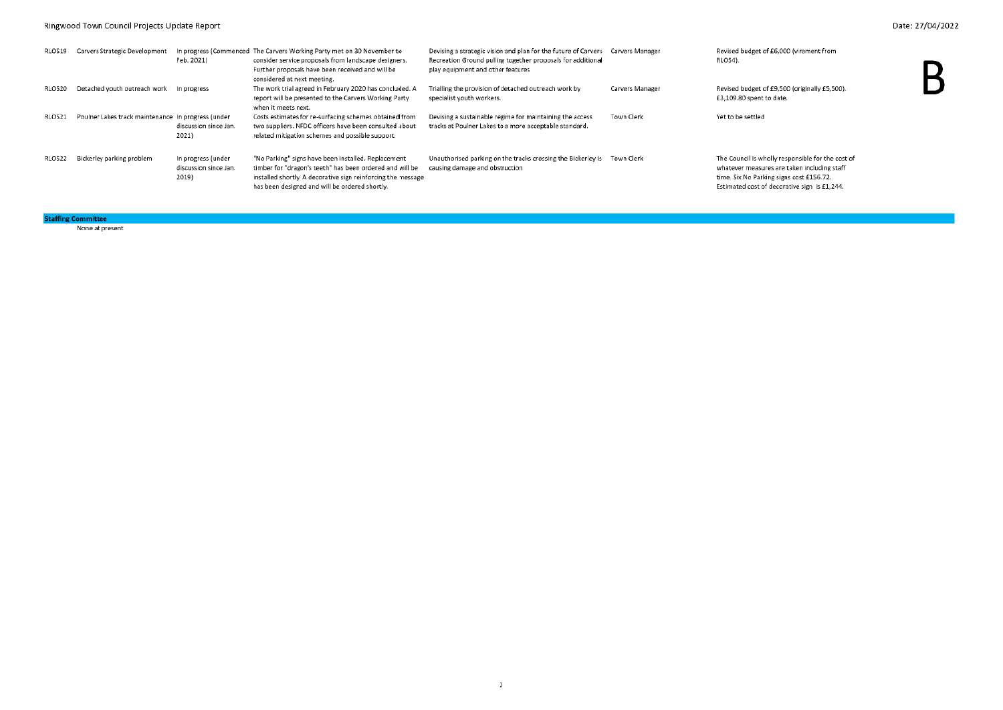### Ringwood Town Council Projects Update Report

| RLOS19 | Carvers Strategic Development                      | Feb. 2021)                                           | In progress (Commenced The Carvers Working Party met on 30 November to<br>consider service proposals from landscape designers.<br>Further proposals have been received and will be<br>considered at next meeting.                 | Devising a strategic vision and plan for the future of Carvers Carvers Manager<br>Recreation Ground pulling together proposals for additional<br>play equipment and other features |                   | Revised budget of £6,000 (virement from<br>RLOS4).                                                                                                                                           |  |
|--------|----------------------------------------------------|------------------------------------------------------|-----------------------------------------------------------------------------------------------------------------------------------------------------------------------------------------------------------------------------------|------------------------------------------------------------------------------------------------------------------------------------------------------------------------------------|-------------------|----------------------------------------------------------------------------------------------------------------------------------------------------------------------------------------------|--|
| RLOS20 | Detached youth outreach work In progress           |                                                      | The work trial agreed in February 2020 has concluded. A<br>report will be presented to the Carvers Working Party<br>when it meets next.                                                                                           | Trialling the provision of detached outreach work by<br>specialist youth workers.                                                                                                  | Carvers Manager   | Revised budget of £9,500 (originally £5,500).<br>£3,109.80 spent to date.                                                                                                                    |  |
| RLOS21 | Poulner Lakes track maintenance In progress (under | discussion since Jan.<br>2021)                       | Costs estimates for re-surfacing schemes obtained from<br>two suppliers. NFDC officers have been consulted about<br>related mitigation schemes and possible support.                                                              | Devising a sustainable regime for maintaining the access<br>tracks at Poulner Lakes to a more acceptable standard.                                                                 | <b>Town Clerk</b> | Yet to be settled                                                                                                                                                                            |  |
| RLOS22 | Bickerley parking problem                          | In progress (under<br>discussion since Jan.<br>2019) | "No Parking" signs have been installed. Replacement<br>timber for "dragon's teeth" has been ordered and will be<br>installed shortly. A decorative sign reinforcing the message<br>has been designed and will be ordered shortly. | Unauthorised parking on the tracks crossing the Bickerley is Town Clerk<br>causing damage and obstruction                                                                          |                   | The Council is wholly responsible for the cost of<br>whatever measures are taken including staff<br>time. Six No Parking signs cost £156.72.<br>Estimated cost of decorative sign is £1,244. |  |

**Staffing Committee** 

None at present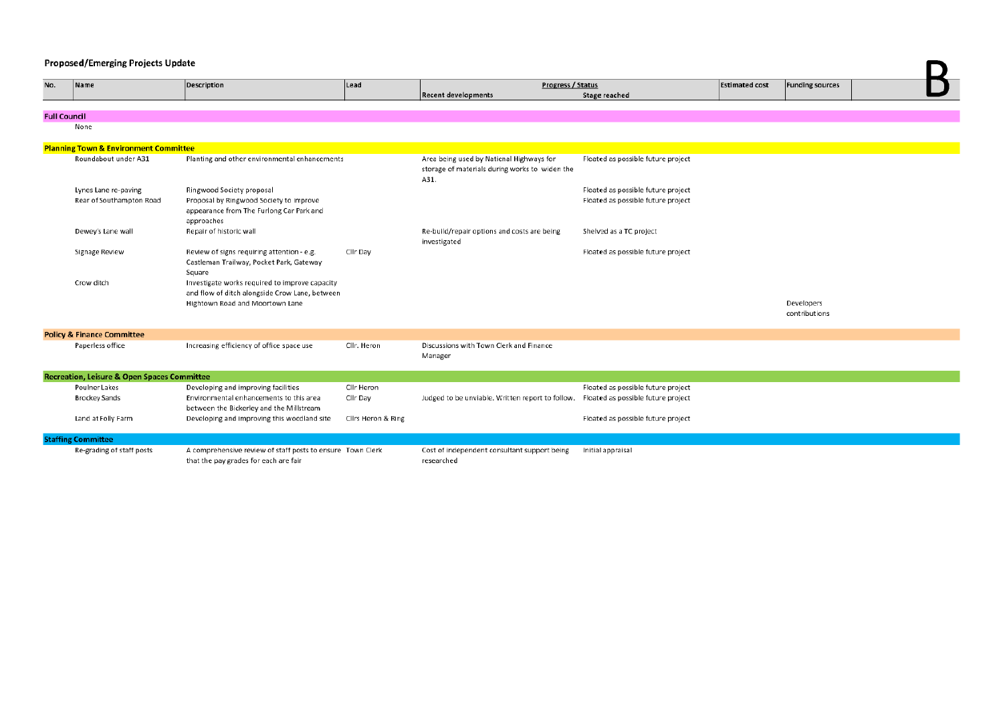### **Proposed/Emerging Projects Update**

| No.                 | Name                                                   | <b>Description</b>                                         | Lead               | Progress / Status<br><b>Recent developments</b>                                                    |                                    | <b>Estimated cost</b> | <b>Funding sources</b> |  |
|---------------------|--------------------------------------------------------|------------------------------------------------------------|--------------------|----------------------------------------------------------------------------------------------------|------------------------------------|-----------------------|------------------------|--|
|                     |                                                        |                                                            |                    |                                                                                                    | <b>Stage reached</b>               |                       |                        |  |
| <b>Full Council</b> |                                                        |                                                            |                    |                                                                                                    |                                    |                       |                        |  |
|                     | None                                                   |                                                            |                    |                                                                                                    |                                    |                       |                        |  |
|                     |                                                        |                                                            |                    |                                                                                                    |                                    |                       |                        |  |
|                     | <b>Planning Town &amp; Environment Committee</b>       |                                                            |                    |                                                                                                    |                                    |                       |                        |  |
|                     | Roundabout under A31                                   | Planting and other environmental enhancements              |                    | Area being used by National Highways for<br>storage of materials during works to widen the<br>A31. | Floated as possible future project |                       |                        |  |
|                     | Lynes Lane re-paving                                   | Ringwood Society proposal                                  |                    |                                                                                                    | Floated as possible future project |                       |                        |  |
|                     | Rear of Southampton Road                               | Proposal by Ringwood Society to improve                    |                    |                                                                                                    | Floated as possible future project |                       |                        |  |
|                     |                                                        | appearance from The Furlong Car Park and                   |                    |                                                                                                    |                                    |                       |                        |  |
|                     | Dewey's Lane wall                                      | approaches<br>Repair of historic wall                      |                    | Re-build/repair options and costs are being                                                        | Shelved as a TC project            |                       |                        |  |
|                     |                                                        |                                                            |                    | investigated                                                                                       |                                    |                       |                        |  |
|                     | Signage Review                                         | Review of signs requiring attention - e.g.                 | Cllr Day           |                                                                                                    | Floated as possible future project |                       |                        |  |
|                     |                                                        | Castleman Trailway, Pocket Park, Gateway                   |                    |                                                                                                    |                                    |                       |                        |  |
|                     |                                                        | Square                                                     |                    |                                                                                                    |                                    |                       |                        |  |
|                     | Crow ditch                                             | Investigate works required to improve capacity             |                    |                                                                                                    |                                    |                       |                        |  |
|                     |                                                        | and flow of ditch alongside Crow Lane, between             |                    |                                                                                                    |                                    |                       |                        |  |
|                     |                                                        | Hightown Road and Moortown Lane                            |                    |                                                                                                    |                                    |                       | Developers             |  |
|                     |                                                        |                                                            |                    |                                                                                                    |                                    |                       | contributions          |  |
|                     | <b>Policy &amp; Finance Committee</b>                  |                                                            |                    |                                                                                                    |                                    |                       |                        |  |
|                     | Paperless office                                       | Increasing efficiency of office space use                  | Cllr. Heron        | Discussions with Town Clerk and Finance                                                            |                                    |                       |                        |  |
|                     |                                                        |                                                            |                    | Manager                                                                                            |                                    |                       |                        |  |
|                     |                                                        |                                                            |                    |                                                                                                    |                                    |                       |                        |  |
|                     | <b>Recreation, Leisure &amp; Open Spaces Committee</b> |                                                            |                    |                                                                                                    |                                    |                       |                        |  |
|                     | Poulner Lakes                                          | Developing and improving facilities                        | Cllr Heron         |                                                                                                    | Floated as possible future project |                       |                        |  |
|                     | <b>Brockey Sands</b>                                   | Environmental enhancements to this area                    | Cllr Day           | Judged to be unviable. Written report to follow.                                                   | Floated as possible future project |                       |                        |  |
|                     |                                                        | between the Bickerley and the Millstream                   |                    |                                                                                                    |                                    |                       |                        |  |
|                     | Land at Folly Farm                                     | Developing and improving this woodland site                | Clirs Heron & Ring |                                                                                                    | Floated as possible future project |                       |                        |  |
|                     | <b>Staffing Committee</b>                              |                                                            |                    |                                                                                                    |                                    |                       |                        |  |
|                     | Re-grading of staff posts                              | A comprehensive review of staff posts to ensure Town Clerk |                    | Cost of independent consultant support being                                                       | Initial appraisal                  |                       |                        |  |
|                     |                                                        | that the pay grades for each are fair                      |                    | researched                                                                                         |                                    |                       |                        |  |

D